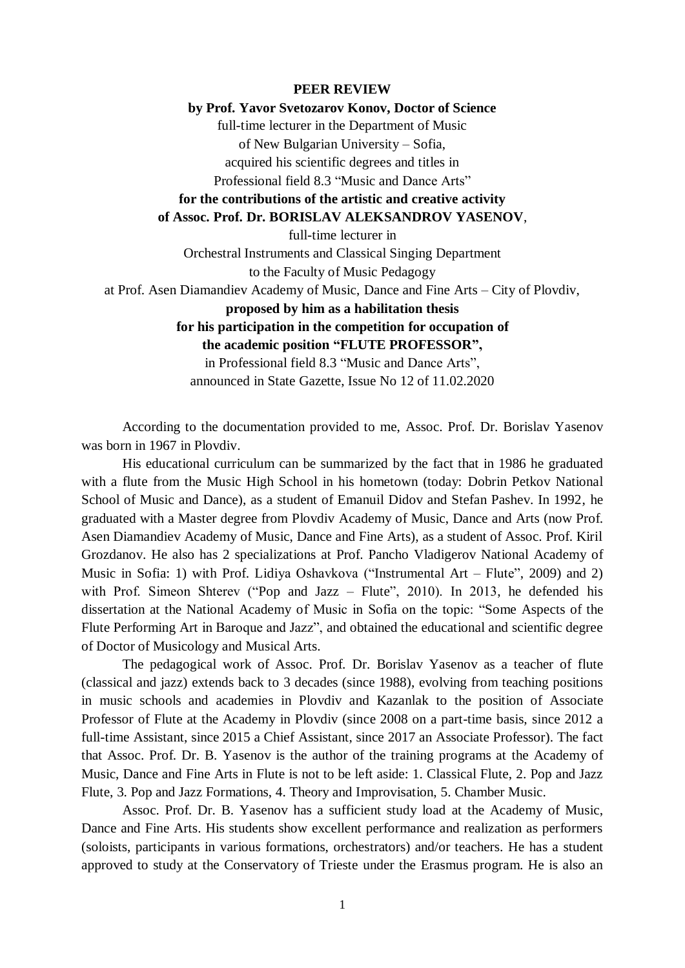### **PEER REVIEW**

### **by Prof. Yavor Svetozarov Konov, Doctor of Science**

full-time lecturer in the Department of Music

of New Bulgarian University – Sofia,

acquired his scientific degrees and titles in Professional field 8.3 "Music and Dance Arts"

# **for the contributions of the artistic and creative activity**

### **of Assoc. Prof. Dr. BORISLAV ALEKSANDROV YASENOV**,

full-time lecturer in

Orchestral Instruments and Classical Singing Department to the Faculty of Music Pedagogy at Prof. Asen Diamandiev Academy of Music, Dance and Fine Arts – City of Plovdiv,

## **proposed by him as a habilitation thesis**

**for his participation in the competition for occupation of the academic position "FLUTE PROFESSOR",**

in Professional field 8.3 "Music and Dance Arts", announced in State Gazette, Issue No 12 of 11.02.2020

According to the documentation provided to me, Assoc. Prof. Dr. Borislav Yasenov was born in 1967 in Plovdiv.

His educational curriculum can be summarized by the fact that in 1986 he graduated with a flute from the Music High School in his hometown (today: Dobrin Petkov National School of Music and Dance), as a student of Emanuil Didov and Stefan Pashev. In 1992, he graduated with a Master degree from Plovdiv Academy of Music, Dance and Arts (now Prof. Asen Diamandiev Academy of Music, Dance and Fine Arts), as a student of Assoc. Prof. Kiril Grozdanov. He also has 2 specializations at Prof. Pancho Vladigerov National Academy of Music in Sofia: 1) with Prof. Lidiya Oshavkova ("Instrumental Art – Flute", 2009) and 2) with Prof. Simeon Shterev ("Pop and Jazz – Flute", 2010). In 2013, he defended his dissertation at the National Academy of Music in Sofia on the topic: "Some Aspects of the Flute Performing Art in Baroque and Jazz", and obtained the educational and scientific degree of Doctor of Musicology and Musical Arts.

The pedagogical work of Assoc. Prof. Dr. Borislav Yasenov as a teacher of flute (classical and jazz) extends back to 3 decades (since 1988), evolving from teaching positions in music schools and academies in Plovdiv and Kazanlak to the position of Associate Professor of Flute at the Academy in Plovdiv (since 2008 on a part-time basis, since 2012 a full-time Assistant, since 2015 a Chief Assistant, since 2017 an Associate Professor). The fact that Assoc. Prof. Dr. B. Yasenov is the author of the training programs at the Academy of Music, Dance and Fine Arts in Flute is not to be left aside: 1. Classical Flute, 2. Pop and Jazz Flute, 3. Pop and Jazz Formations, 4. Theory and Improvisation, 5. Chamber Music.

Assoc. Prof. Dr. B. Yasenov has a sufficient study load at the Academy of Music, Dance and Fine Arts. His students show excellent performance and realization as performers (soloists, participants in various formations, orchestrators) and/or teachers. He has a student approved to study at the Conservatory of Trieste under the Erasmus program. He is also an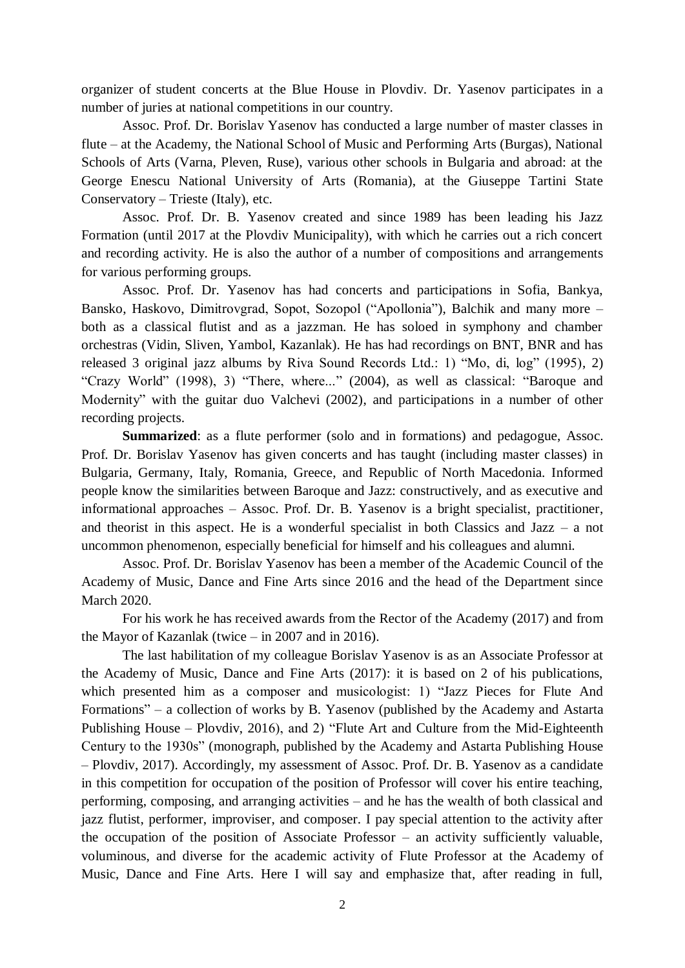organizer of student concerts at the Blue House in Plovdiv. Dr. Yasenov participates in a number of juries at national competitions in our country.

Assoc. Prof. Dr. Borislav Yasenov has conducted a large number of master classes in flute – at the Academy, the National School of Music and Performing Arts (Burgas), National Schools of Arts (Varna, Pleven, Ruse), various other schools in Bulgaria and abroad: at the George Enescu National University of Arts (Romania), at the Giuseppe Tartini State Conservatory – Trieste (Italy), etc.

Assoc. Prof. Dr. B. Yasenov created and since 1989 has been leading his Jazz Formation (until 2017 at the Plovdiv Municipality), with which he carries out a rich concert and recording activity. He is also the author of a number of compositions and arrangements for various performing groups.

Assoc. Prof. Dr. Yasenov has had concerts and participations in Sofia, Bankya, Bansko, Haskovo, Dimitrovgrad, Sopot, Sozopol ("Apollonia"), Balchik and many more – both as a classical flutist and as a jazzman. He has soloed in symphony and chamber orchestras (Vidin, Sliven, Yambol, Kazanlak). He has had recordings on BNT, BNR and has released 3 original jazz albums by Riva Sound Records Ltd.: 1) "Mo, di, log" (1995), 2) "Crazy World" (1998), 3) "There, where..." (2004), as well as classical: "Baroque and Modernity" with the guitar duo Valchevi (2002), and participations in a number of other recording projects.

**Summarized**: as a flute performer (solo and in formations) and pedagogue, Assoc. Prof. Dr. Borislav Yasenov has given concerts and has taught (including master classes) in Bulgaria, Germany, Italy, Romania, Greece, and Republic of North Macedonia. Informed people know the similarities between Baroque and Jazz: constructively, and as executive and informational approaches – Assoc. Prof. Dr. B. Yasenov is a bright specialist, practitioner, and theorist in this aspect. He is a wonderful specialist in both Classics and Jazz – a not uncommon phenomenon, especially beneficial for himself and his colleagues and alumni.

Assoc. Prof. Dr. Borislav Yasenov has been a member of the Academic Council of the Academy of Music, Dance and Fine Arts since 2016 and the head of the Department since March 2020.

For his work he has received awards from the Rector of the Academy (2017) and from the Mayor of Kazanlak (twice – in 2007 and in 2016).

The last habilitation of my colleague Borislav Yasenov is as an Associate Professor at the Academy of Music, Dance and Fine Arts (2017): it is based on 2 of his publications, which presented him as a composer and musicologist: 1) "Jazz Pieces for Flute And Formations" – a collection of works by B. Yasenov (published by the Academy and Astarta Publishing House – Plovdiv, 2016), and 2) "Flute Art and Culture from the Mid-Eighteenth Century to the 1930s" (monograph, published by the Academy and Astarta Publishing House – Plovdiv, 2017). Accordingly, my assessment of Assoc. Prof. Dr. B. Yasenov as a candidate in this competition for occupation of the position of Professor will cover his entire teaching, performing, composing, and arranging activities – and he has the wealth of both classical and jazz flutist, performer, improviser, and composer. I pay special attention to the activity after the occupation of the position of Associate Professor – an activity sufficiently valuable, voluminous, and diverse for the academic activity of Flute Professor at the Academy of Music, Dance and Fine Arts. Here I will say and emphasize that, after reading in full,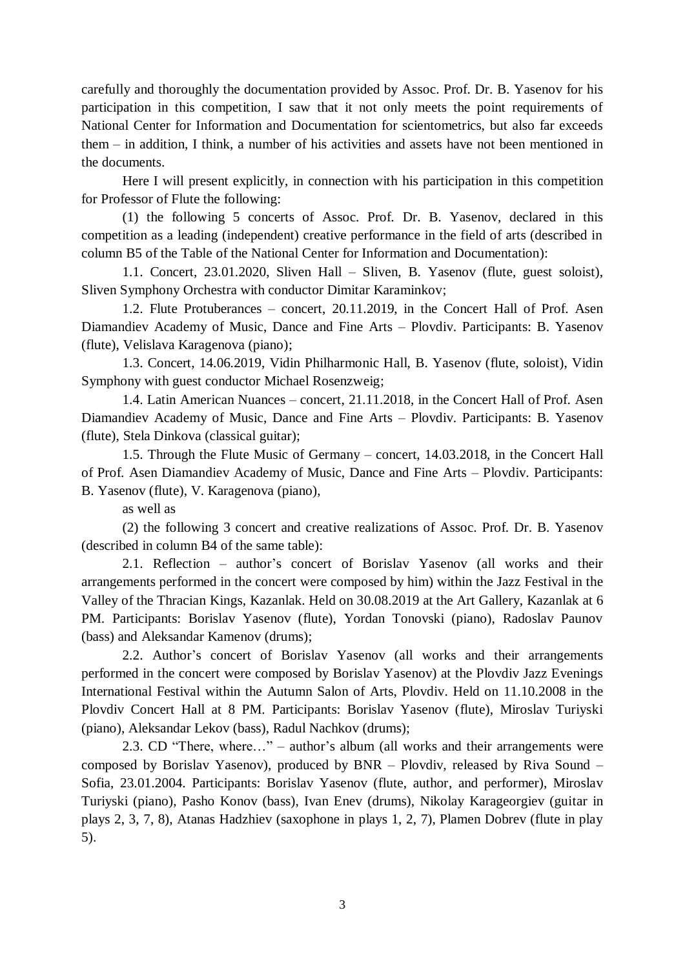carefully and thoroughly the documentation provided by Assoc. Prof. Dr. B. Yasenov for his participation in this competition, I saw that it not only meets the point requirements of National Center for Information and Documentation for scientometrics, but also far exceeds them – in addition, I think, a number of his activities and assets have not been mentioned in the documents.

Here I will present explicitly, in connection with his participation in this competition for Professor of Flute the following:

(1) the following 5 concerts of Assoc. Prof. Dr. B. Yasenov, declared in this competition as a leading (independent) creative performance in the field of arts (described in column B5 of the Table of the National Center for Information and Documentation):

1.1. Concert, 23.01.2020, Sliven Hall – Sliven, B. Yasenov (flute, guest soloist), Sliven Symphony Orchestra with conductor Dimitar Karaminkov;

1.2. Flute Protuberances – concert, 20.11.2019, in the Concert Hall of Prof. Asen Diamandiev Academy of Music, Dance and Fine Arts – Plovdiv. Participants: B. Yasenov (flute), Velislava Karagenova (piano);

1.3. Concert, 14.06.2019, Vidin Philharmonic Hall, B. Yasenov (flute, soloist), Vidin Symphony with guest conductor Michael Rosenzweig;

1.4. Latin American Nuances – concert, 21.11.2018, in the Concert Hall of Prof. Asen Diamandiev Academy of Music, Dance and Fine Arts – Plovdiv. Participants: B. Yasenov (flute), Stela Dinkova (classical guitar);

1.5. Through the Flute Music of Germany – concert, 14.03.2018, in the Concert Hall of Prof. Asen Diamandiev Academy of Music, Dance and Fine Arts – Plovdiv. Participants: B. Yasenov (flute), V. Karagenova (piano),

as well as

(2) the following 3 concert and creative realizations of Assoc. Prof. Dr. B. Yasenov (described in column B4 of the same table):

2.1. Reflection – author's concert of Borislav Yasenov (all works and their arrangements performed in the concert were composed by him) within the Jazz Festival in the Valley of the Thracian Kings, Kazanlak. Held on 30.08.2019 at the Art Gallery, Kazanlak at 6 PM. Participants: Borislav Yasenov (flute), Yordan Tonovski (piano), Radoslav Paunov (bass) and Aleksandar Kamenov (drums);

2.2. Author's concert of Borislav Yasenov (all works and their arrangements performed in the concert were composed by Borislav Yasenov) at the Plovdiv Jazz Evenings International Festival within the Autumn Salon of Arts, Plovdiv. Held on 11.10.2008 in the Plovdiv Concert Hall at 8 PM. Participants: Borislav Yasenov (flute), Miroslav Turiyski (piano), Aleksandar Lekov (bass), Radul Nachkov (drums);

2.3. CD "There, where…" – author's album (all works and their arrangements were composed by Borislav Yasenov), produced by BNR – Plovdiv, released by Riva Sound – Sofia, 23.01.2004. Participants: Borislav Yasenov (flute, author, and performer), Miroslav Turiyski (piano), Pasho Konov (bass), Ivan Enev (drums), Nikolay Karageorgiev (guitar in plays 2, 3, 7, 8), Atanas Hadzhiev (saxophone in plays 1, 2, 7), Plamen Dobrev (flute in play 5).